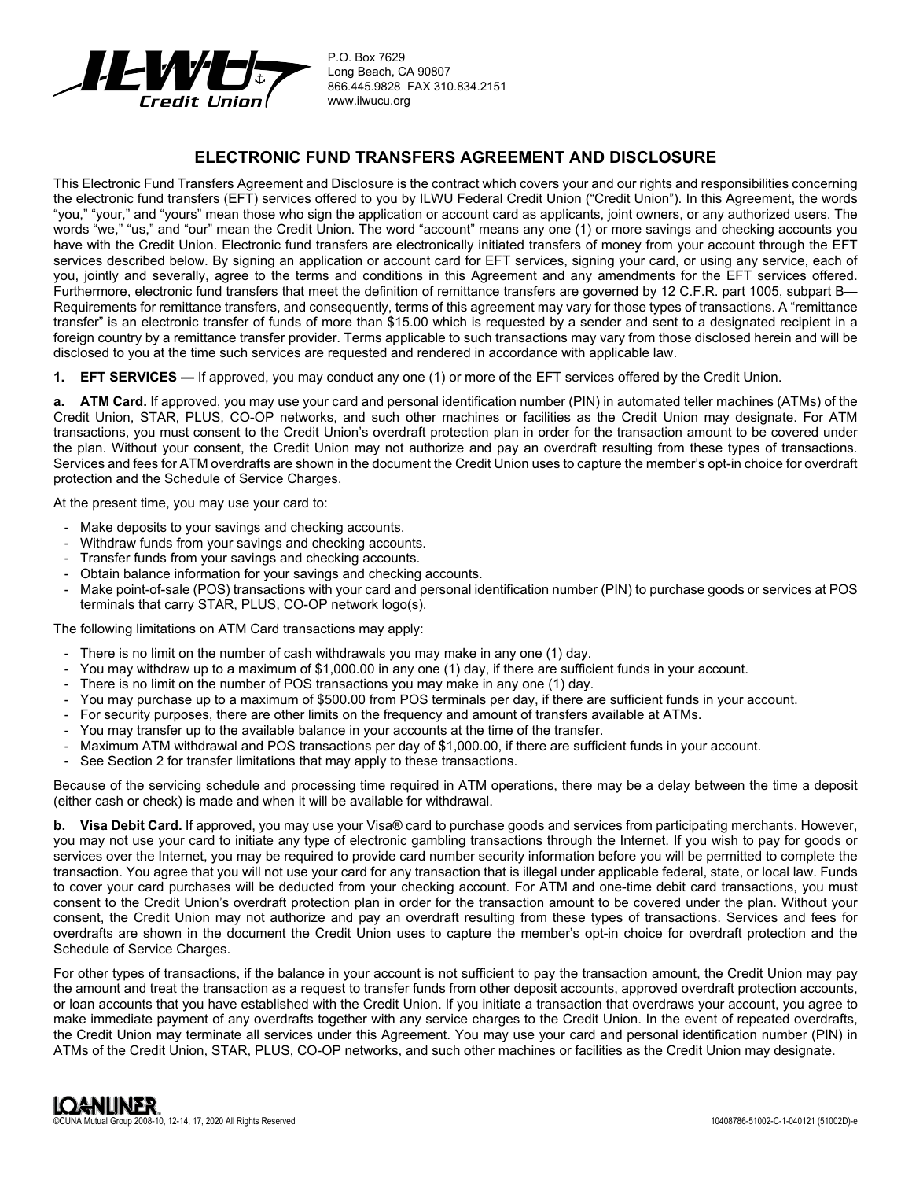

P.O. Box 7629 Long Beach, CA 90807 866.445.9828 FAX 310.834.2151 www.ilwucu.org

# **ELECTRONIC FUND TRANSFERS AGREEMENT AND DISCLOSURE**

This Electronic Fund Transfers Agreement and Disclosure is the contract which covers your and our rights and responsibilities concerning the electronic fund transfers (EFT) services offered to you by ILWU Federal Credit Union ("Credit Union"). In this Agreement, the words "you," "your," and "yours" mean those who sign the application or account card as applicants, joint owners, or any authorized users. The words "we," "us," and "our" mean the Credit Union. The word "account" means any one (1) or more savings and checking accounts you have with the Credit Union. Electronic fund transfers are electronically initiated transfers of money from your account through the EFT services described below. By signing an application or account card for EFT services, signing your card, or using any service, each of you, jointly and severally, agree to the terms and conditions in this Agreement and any amendments for the EFT services offered. Furthermore, electronic fund transfers that meet the definition of remittance transfers are governed by 12 C.F.R. part 1005, subpart B— Requirements for remittance transfers, and consequently, terms of this agreement may vary for those types of transactions. A "remittance transfer" is an electronic transfer of funds of more than \$15.00 which is requested by a sender and sent to a designated recipient in a foreign country by a remittance transfer provider. Terms applicable to such transactions may vary from those disclosed herein and will be disclosed to you at the time such services are requested and rendered in accordance with applicable law.

**1. EFT SERVICES —** If approved, you may conduct any one (1) or more of the EFT services offered by the Credit Union.

**a. ATM Card.** If approved, you may use your card and personal identification number (PIN) in automated teller machines (ATMs) of the Credit Union, STAR, PLUS, CO-OP networks, and such other machines or facilities as the Credit Union may designate. For ATM transactions, you must consent to the Credit Union's overdraft protection plan in order for the transaction amount to be covered under the plan. Without your consent, the Credit Union may not authorize and pay an overdraft resulting from these types of transactions. Services and fees for ATM overdrafts are shown in the document the Credit Union uses to capture the member's opt-in choice for overdraft protection and the Schedule of Service Charges.

At the present time, you may use your card to:

- Make deposits to your savings and checking accounts.
- Withdraw funds from your savings and checking accounts.
- Transfer funds from your savings and checking accounts.
- Obtain balance information for your savings and checking accounts.
- Make point-of-sale (POS) transactions with your card and personal identification number (PIN) to purchase goods or services at POS terminals that carry STAR, PLUS, CO-OP network logo(s).

The following limitations on ATM Card transactions may apply:

- There is no limit on the number of cash withdrawals you may make in any one (1) day.
- You may withdraw up to a maximum of \$1,000.00 in any one (1) day, if there are sufficient funds in your account.
- There is no limit on the number of POS transactions you may make in any one (1) day.
- You may purchase up to a maximum of \$500.00 from POS terminals per day, if there are sufficient funds in your account.
- For security purposes, there are other limits on the frequency and amount of transfers available at ATMs.
- You may transfer up to the available balance in your accounts at the time of the transfer.
- Maximum ATM withdrawal and POS transactions per day of \$1,000.00, if there are sufficient funds in your account.
- See Section 2 for transfer limitations that may apply to these transactions.

Because of the servicing schedule and processing time required in ATM operations, there may be a delay between the time a deposit (either cash or check) is made and when it will be available for withdrawal.

**b.** Visa Debit Card. If approved, you may use your Visa® card to purchase goods and services from participating merchants. However, you may not use your card to initiate any type of electronic gambling transactions through the Internet. If you wish to pay for goods or services over the Internet, you may be required to provide card number security information before you will be permitted to complete the transaction. You agree that you will not use your card for any transaction that is illegal under applicable federal, state, or local law. Funds to cover your card purchases will be deducted from your checking account. For ATM and one-time debit card transactions, you must consent to the Credit Union's overdraft protection plan in order for the transaction amount to be covered under the plan. Without your consent, the Credit Union may not authorize and pay an overdraft resulting from these types of transactions. Services and fees for overdrafts are shown in the document the Credit Union uses to capture the member's opt-in choice for overdraft protection and the Schedule of Service Charges.

For other types of transactions, if the balance in your account is not sufficient to pay the transaction amount, the Credit Union may pay the amount and treat the transaction as a request to transfer funds from other deposit accounts, approved overdraft protection accounts, or loan accounts that you have established with the Credit Union. If you initiate a transaction that overdraws your account, you agree to make immediate payment of any overdrafts together with any service charges to the Credit Union. In the event of repeated overdrafts, the Credit Union may terminate all services under this Agreement. You may use your card and personal identification number (PIN) in ATMs of the Credit Union, STAR, PLUS, CO-OP networks, and such other machines or facilities as the Credit Union may designate.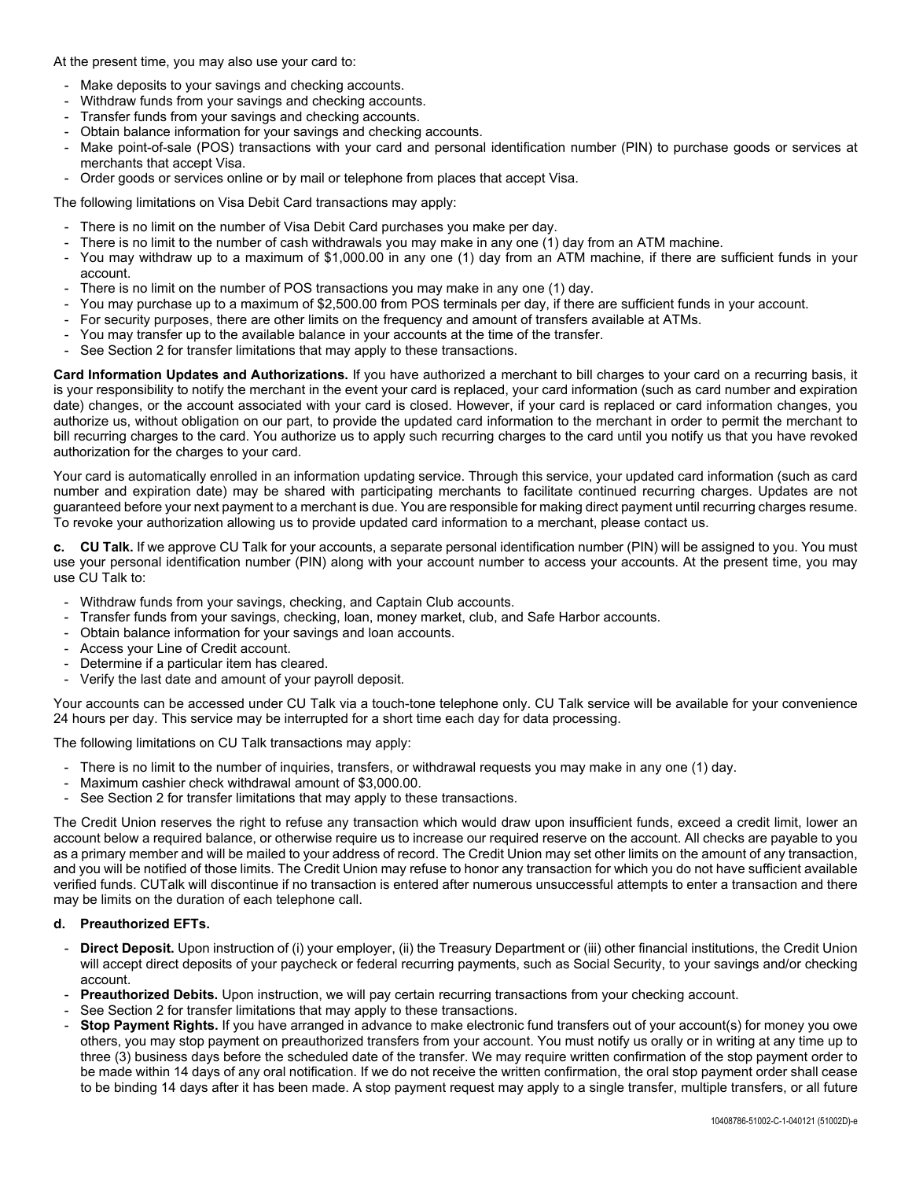At the present time, you may also use your card to:

- Make deposits to your savings and checking accounts.
- Withdraw funds from your savings and checking accounts.
- Transfer funds from your savings and checking accounts.
- Obtain balance information for your savings and checking accounts.
- Make point-of-sale (POS) transactions with your card and personal identification number (PIN) to purchase goods or services at merchants that accept Visa.
- Order goods or services online or by mail or telephone from places that accept Visa.

The following limitations on Visa Debit Card transactions may apply:

- There is no limit on the number of Visa Debit Card purchases you make per day.
- There is no limit to the number of cash withdrawals you may make in any one (1) day from an ATM machine.
- You may withdraw up to a maximum of \$1,000.00 in any one (1) day from an ATM machine, if there are sufficient funds in your account.
- There is no limit on the number of POS transactions you may make in any one (1) day.
- You may purchase up to a maximum of \$2,500.00 from POS terminals per day, if there are sufficient funds in your account.
- For security purposes, there are other limits on the frequency and amount of transfers available at ATMs.
- You may transfer up to the available balance in your accounts at the time of the transfer.
- See Section 2 for transfer limitations that may apply to these transactions.

**Card Information Updates and Authorizations.** If you have authorized a merchant to bill charges to your card on a recurring basis, it is your responsibility to notify the merchant in the event your card is replaced, your card information (such as card number and expiration date) changes, or the account associated with your card is closed. However, if your card is replaced or card information changes, you authorize us, without obligation on our part, to provide the updated card information to the merchant in order to permit the merchant to bill recurring charges to the card. You authorize us to apply such recurring charges to the card until you notify us that you have revoked authorization for the charges to your card.

Your card is automatically enrolled in an information updating service. Through this service, your updated card information (such as card number and expiration date) may be shared with participating merchants to facilitate continued recurring charges. Updates are not guaranteed before your next payment to a merchant is due. You are responsible for making direct payment until recurring charges resume. To revoke your authorization allowing us to provide updated card information to a merchant, please contact us.

**c. CU Talk.** If we approve CU Talk for your accounts, a separate personal identification number (PIN) will be assigned to you. You must use your personal identification number (PIN) along with your account number to access your accounts. At the present time, you may use CU Talk to:

- Withdraw funds from your savings, checking, and Captain Club accounts.
- Transfer funds from your savings, checking, loan, money market, club, and Safe Harbor accounts.
- Obtain balance information for your savings and loan accounts.
- Access your Line of Credit account.
- Determine if a particular item has cleared.
- Verify the last date and amount of your payroll deposit.

Your accounts can be accessed under CU Talk via a touch-tone telephone only. CU Talk service will be available for your convenience 24 hours per day. This service may be interrupted for a short time each day for data processing.

The following limitations on CU Talk transactions may apply:

- There is no limit to the number of inquiries, transfers, or withdrawal requests you may make in any one (1) day.
- Maximum cashier check withdrawal amount of \$3,000,00.
- See Section 2 for transfer limitations that may apply to these transactions.

The Credit Union reserves the right to refuse any transaction which would draw upon insufficient funds, exceed a credit limit, lower an account below a required balance, or otherwise require us to increase our required reserve on the account. All checks are payable to you as a primary member and will be mailed to your address of record. The Credit Union may set other limits on the amount of any transaction, and you will be notified of those limits. The Credit Union may refuse to honor any transaction for which you do not have sufficient available verified funds. CUTalk will discontinue if no transaction is entered after numerous unsuccessful attempts to enter a transaction and there may be limits on the duration of each telephone call.

### **d. Preauthorized EFTs.**

- **Direct Deposit.** Upon instruction of (i) your employer, (ii) the Treasury Department or (iii) other financial institutions, the Credit Union will accept direct deposits of your paycheck or federal recurring payments, such as Social Security, to your savings and/or checking account.
- **Preauthorized Debits.** Upon instruction, we will pay certain recurring transactions from your checking account.
- See Section 2 for transfer limitations that may apply to these transactions.
- **Stop Payment Rights.** If you have arranged in advance to make electronic fund transfers out of your account(s) for money you owe others, you may stop payment on preauthorized transfers from your account. You must notify us orally or in writing at any time up to three (3) business days before the scheduled date of the transfer. We may require written confirmation of the stop payment order to be made within 14 days of any oral notification. If we do not receive the written confirmation, the oral stop payment order shall cease to be binding 14 days after it has been made. A stop payment request may apply to a single transfer, multiple transfers, or all future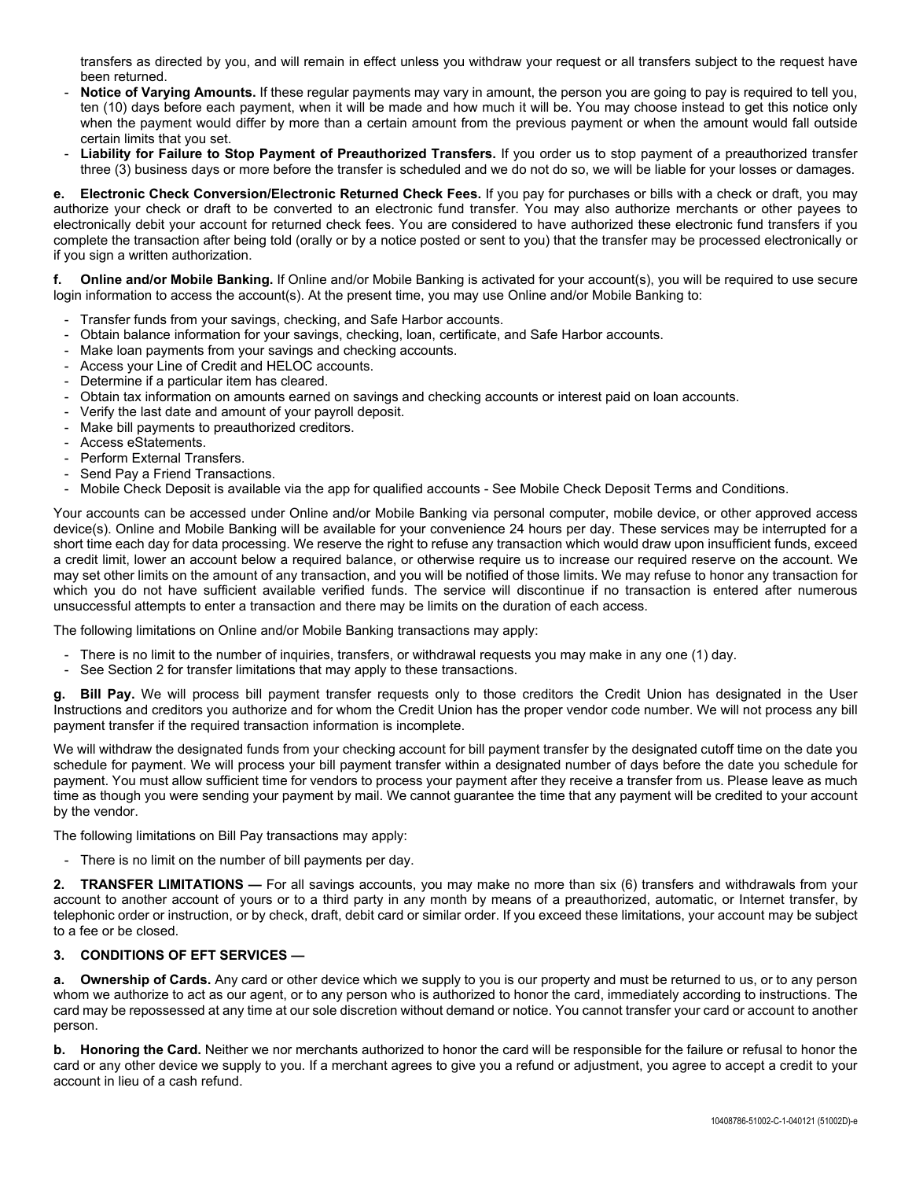transfers as directed by you, and will remain in effect unless you withdraw your request or all transfers subject to the request have been returned.

- **Notice of Varying Amounts.** If these regular payments may vary in amount, the person you are going to pay is required to tell you, ten (10) days before each payment, when it will be made and how much it will be. You may choose instead to get this notice only when the payment would differ by more than a certain amount from the previous payment or when the amount would fall outside certain limits that you set.
- **Liability for Failure to Stop Payment of Preauthorized Transfers.** If you order us to stop payment of a preauthorized transfer three (3) business days or more before the transfer is scheduled and we do not do so, we will be liable for your losses or damages.

**e. Electronic Check Conversion/Electronic Returned Check Fees.** If you pay for purchases or bills with a check or draft, you may authorize your check or draft to be converted to an electronic fund transfer. You may also authorize merchants or other payees to electronically debit your account for returned check fees. You are considered to have authorized these electronic fund transfers if you complete the transaction after being told (orally or by a notice posted or sent to you) that the transfer may be processed electronically or if you sign a written authorization.

**f. Online and/or Mobile Banking.** If Online and/or Mobile Banking is activated for your account(s), you will be required to use secure login information to access the account(s). At the present time, you may use Online and/or Mobile Banking to:

- Transfer funds from your savings, checking, and Safe Harbor accounts.
- Obtain balance information for your savings, checking, loan, certificate, and Safe Harbor accounts.
- Make loan payments from your savings and checking accounts.
- Access your Line of Credit and HELOC accounts.
- Determine if a particular item has cleared.
- Obtain tax information on amounts earned on savings and checking accounts or interest paid on loan accounts.
- Verify the last date and amount of your payroll deposit.
- Make bill payments to preauthorized creditors.
- Access eStatements.
- Perform External Transfers.
- Send Pay a Friend Transactions.
- Mobile Check Deposit is available via the app for qualified accounts See Mobile Check Deposit Terms and Conditions.

Your accounts can be accessed under Online and/or Mobile Banking via personal computer, mobile device, or other approved access device(s). Online and Mobile Banking will be available for your convenience 24 hours per day. These services may be interrupted for a short time each day for data processing. We reserve the right to refuse any transaction which would draw upon insufficient funds, exceed a credit limit, lower an account below a required balance, or otherwise require us to increase our required reserve on the account. We may set other limits on the amount of any transaction, and you will be notified of those limits. We may refuse to honor any transaction for which you do not have sufficient available verified funds. The service will discontinue if no transaction is entered after numerous unsuccessful attempts to enter a transaction and there may be limits on the duration of each access.

The following limitations on Online and/or Mobile Banking transactions may apply:

- There is no limit to the number of inquiries, transfers, or withdrawal requests you may make in any one (1) day.
- See Section 2 for transfer limitations that may apply to these transactions.

**g. Bill Pay.** We will process bill payment transfer requests only to those creditors the Credit Union has designated in the User Instructions and creditors you authorize and for whom the Credit Union has the proper vendor code number. We will not process any bill payment transfer if the required transaction information is incomplete.

We will withdraw the designated funds from your checking account for bill payment transfer by the designated cutoff time on the date you schedule for payment. We will process your bill payment transfer within a designated number of days before the date you schedule for payment. You must allow sufficient time for vendors to process your payment after they receive a transfer from us. Please leave as much time as though you were sending your payment by mail. We cannot guarantee the time that any payment will be credited to your account by the vendor.

The following limitations on Bill Pay transactions may apply:

- There is no limit on the number of bill payments per day.

**2. TRANSFER LIMITATIONS —** For all savings accounts, you may make no more than six (6) transfers and withdrawals from your account to another account of yours or to a third party in any month by means of a preauthorized, automatic, or Internet transfer, by telephonic order or instruction, or by check, draft, debit card or similar order. If you exceed these limitations, your account may be subject to a fee or be closed.

## **3. CONDITIONS OF EFT SERVICES —**

**a. Ownership of Cards.** Any card or other device which we supply to you is our property and must be returned to us, or to any person whom we authorize to act as our agent, or to any person who is authorized to honor the card, immediately according to instructions. The card may be repossessed at any time at our sole discretion without demand or notice. You cannot transfer your card or account to another person.

**b. Honoring the Card.** Neither we nor merchants authorized to honor the card will be responsible for the failure or refusal to honor the card or any other device we supply to you. If a merchant agrees to give you a refund or adjustment, you agree to accept a credit to your account in lieu of a cash refund.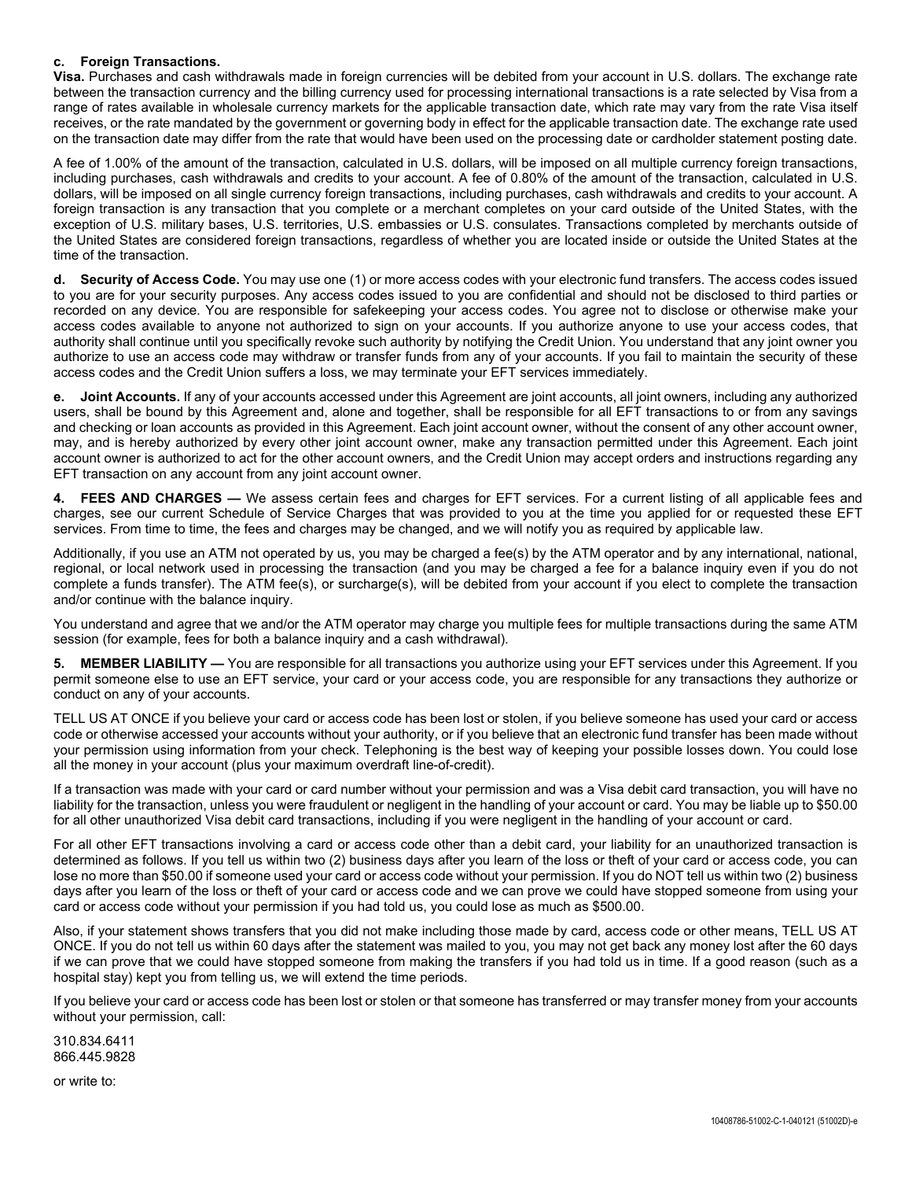### **c. Foreign Transactions.**

**Visa.** Purchases and cash withdrawals made in foreign currencies will be debited from your account in U.S. dollars. The exchange rate between the transaction currency and the billing currency used for processing international transactions is a rate selected by Visa from a range of rates available in wholesale currency markets for the applicable transaction date, which rate may vary from the rate Visa itself receives, or the rate mandated by the government or governing body in effect for the applicable transaction date. The exchange rate used on the transaction date may differ from the rate that would have been used on the processing date or cardholder statement posting date.

A fee of 1.00% of the amount of the transaction, calculated in U.S. dollars, will be imposed on all multiple currency foreign transactions, including purchases, cash withdrawals and credits to your account. A fee of 0.80% of the amount of the transaction, calculated in U.S. dollars, will be imposed on all single currency foreign transactions, including purchases, cash withdrawals and credits to your account. A foreign transaction is any transaction that you complete or a merchant completes on your card outside of the United States, with the exception of U.S. military bases, U.S. territories, U.S. embassies or U.S. consulates. Transactions completed by merchants outside of the United States are considered foreign transactions, regardless of whether you are located inside or outside the United States at the time of the transaction.

**d. Security of Access Code.** You may use one (1) or more access codes with your electronic fund transfers. The access codes issued to you are for your security purposes. Any access codes issued to you are confidential and should not be disclosed to third parties or recorded on any device. You are responsible for safekeeping your access codes. You agree not to disclose or otherwise make your access codes available to anyone not authorized to sign on your accounts. If you authorize anyone to use your access codes, that authority shall continue until you specifically revoke such authority by notifying the Credit Union. You understand that any joint owner you authorize to use an access code may withdraw or transfer funds from any of your accounts. If you fail to maintain the security of these access codes and the Credit Union suffers a loss, we may terminate your EFT services immediately.

**e. Joint Accounts.** If any of your accounts accessed under this Agreement are joint accounts, all joint owners, including any authorized users, shall be bound by this Agreement and, alone and together, shall be responsible for all EFT transactions to or from any savings and checking or loan accounts as provided in this Agreement. Each joint account owner, without the consent of any other account owner, may, and is hereby authorized by every other joint account owner, make any transaction permitted under this Agreement. Each joint account owner is authorized to act for the other account owners, and the Credit Union may accept orders and instructions regarding any EFT transaction on any account from any joint account owner.

**4. FEES AND CHARGES —** We assess certain fees and charges for EFT services. For a current listing of all applicable fees and charges, see our current Schedule of Service Charges that was provided to you at the time you applied for or requested these EFT services. From time to time, the fees and charges may be changed, and we will notify you as required by applicable law.

Additionally, if you use an ATM not operated by us, you may be charged a fee(s) by the ATM operator and by any international, national, regional, or local network used in processing the transaction (and you may be charged a fee for a balance inquiry even if you do not complete a funds transfer). The ATM fee(s), or surcharge(s), will be debited from your account if you elect to complete the transaction and/or continue with the balance inquiry.

You understand and agree that we and/or the ATM operator may charge you multiple fees for multiple transactions during the same ATM session (for example, fees for both a balance inquiry and a cash withdrawal).

**5. MEMBER LIABILITY —** You are responsible for all transactions you authorize using your EFT services under this Agreement. If you permit someone else to use an EFT service, your card or your access code, you are responsible for any transactions they authorize or conduct on any of your accounts.

TELL US AT ONCE if you believe your card or access code has been lost or stolen, if you believe someone has used your card or access code or otherwise accessed your accounts without your authority, or if you believe that an electronic fund transfer has been made without your permission using information from your check. Telephoning is the best way of keeping your possible losses down. You could lose all the money in your account (plus your maximum overdraft line-of-credit).

If a transaction was made with your card or card number without your permission and was a Visa debit card transaction, you will have no liability for the transaction, unless you were fraudulent or negligent in the handling of your account or card. You may be liable up to \$50.00 for all other unauthorized Visa debit card transactions, including if you were negligent in the handling of your account or card.

For all other EFT transactions involving a card or access code other than a debit card, your liability for an unauthorized transaction is determined as follows. If you tell us within two (2) business days after you learn of the loss or theft of your card or access code, you can lose no more than \$50.00 if someone used your card or access code without your permission. If you do NOT tell us within two (2) business days after you learn of the loss or theft of your card or access code and we can prove we could have stopped someone from using your card or access code without your permission if you had told us, you could lose as much as \$500.00.

Also, if your statement shows transfers that you did not make including those made by card, access code or other means, TELL US AT ONCE. If you do not tell us within 60 days after the statement was mailed to you, you may not get back any money lost after the 60 days if we can prove that we could have stopped someone from making the transfers if you had told us in time. If a good reason (such as a hospital stay) kept you from telling us, we will extend the time periods.

If you believe your card or access code has been lost or stolen or that someone has transferred or may transfer money from your accounts without your permission, call:

310.834.6411 866.445.9828

or write to: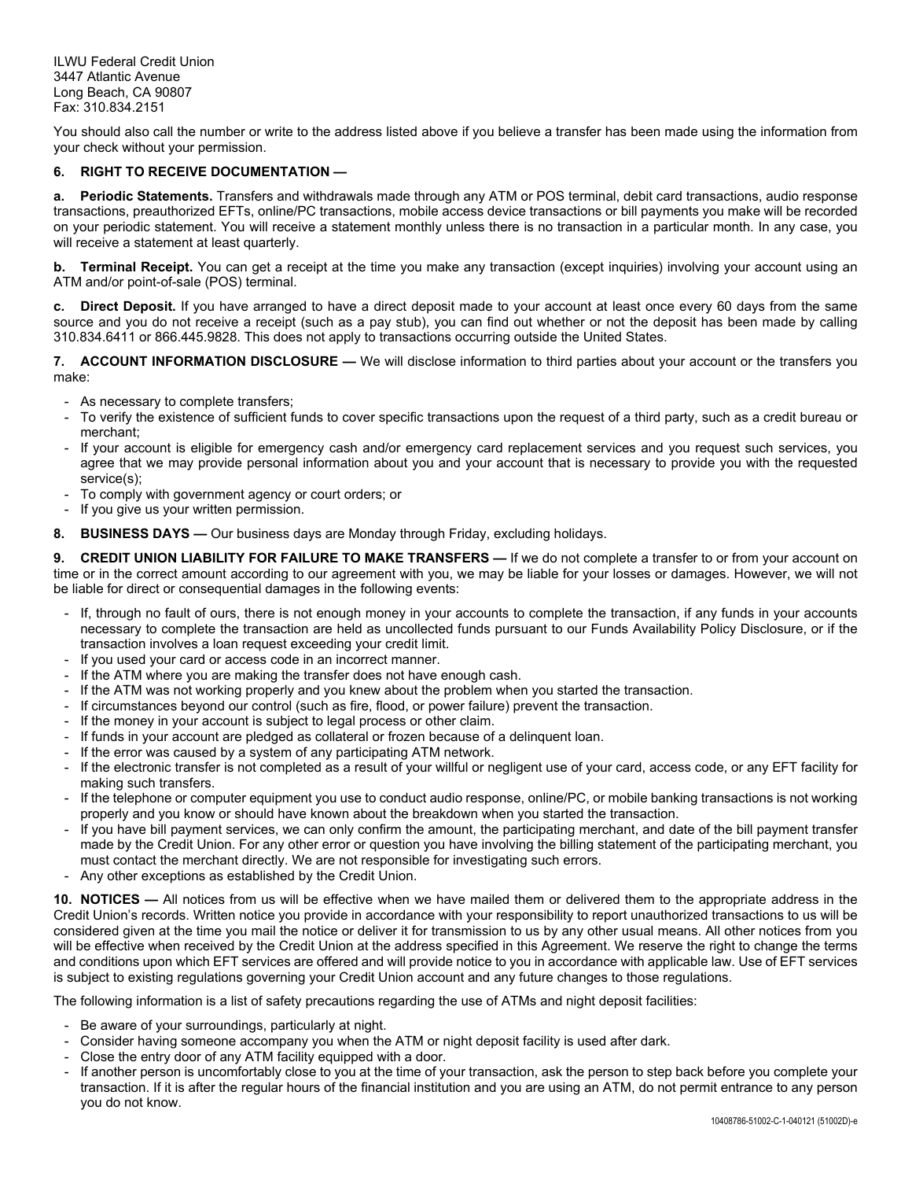ILWU Federal Credit Union 3447 Atlantic Avenue Long Beach, CA 90807 Fax: 310.834.2151

You should also call the number or write to the address listed above if you believe a transfer has been made using the information from your check without your permission.

# **6. RIGHT TO RECEIVE DOCUMENTATION —**

**a. Periodic Statements.** Transfers and withdrawals made through any ATM or POS terminal, debit card transactions, audio response transactions, preauthorized EFTs, online/PC transactions, mobile access device transactions or bill payments you make will be recorded on your periodic statement. You will receive a statement monthly unless there is no transaction in a particular month. In any case, you will receive a statement at least quarterly.

**b. Terminal Receipt.** You can get a receipt at the time you make any transaction (except inquiries) involving your account using an ATM and/or point-of-sale (POS) terminal.

**c. Direct Deposit.** If you have arranged to have a direct deposit made to your account at least once every 60 days from the same source and you do not receive a receipt (such as a pay stub), you can find out whether or not the deposit has been made by calling 310.834.6411 or 866.445.9828. This does not apply to transactions occurring outside the United States.

**7. ACCOUNT INFORMATION DISCLOSURE —** We will disclose information to third parties about your account or the transfers you make:

- As necessary to complete transfers;
- To verify the existence of sufficient funds to cover specific transactions upon the request of a third party, such as a credit bureau or merchant;
- If your account is eligible for emergency cash and/or emergency card replacement services and you request such services, you agree that we may provide personal information about you and your account that is necessary to provide you with the requested service(s);
- To comply with government agency or court orders; or
- If you give us your written permission.
- **8. BUSINESS DAYS —** Our business days are Monday through Friday, excluding holidays.

**9. CREDIT UNION LIABILITY FOR FAILURE TO MAKE TRANSFERS —** If we do not complete a transfer to or from your account on time or in the correct amount according to our agreement with you, we may be liable for your losses or damages. However, we will not be liable for direct or consequential damages in the following events:

- If, through no fault of ours, there is not enough money in your accounts to complete the transaction, if any funds in your accounts necessary to complete the transaction are held as uncollected funds pursuant to our Funds Availability Policy Disclosure, or if the transaction involves a loan request exceeding your credit limit.
- If you used your card or access code in an incorrect manner.
- If the ATM where you are making the transfer does not have enough cash.
- If the ATM was not working properly and you knew about the problem when you started the transaction.
- If circumstances beyond our control (such as fire, flood, or power failure) prevent the transaction.
- If the money in your account is subject to legal process or other claim.
- If funds in your account are pledged as collateral or frozen because of a delinquent loan.
- If the error was caused by a system of any participating ATM network.
- If the electronic transfer is not completed as a result of your willful or negligent use of your card, access code, or any EFT facility for making such transfers.
- If the telephone or computer equipment you use to conduct audio response, online/PC, or mobile banking transactions is not working properly and you know or should have known about the breakdown when you started the transaction.
- If you have bill payment services, we can only confirm the amount, the participating merchant, and date of the bill payment transfer made by the Credit Union. For any other error or question you have involving the billing statement of the participating merchant, you must contact the merchant directly. We are not responsible for investigating such errors.
- Any other exceptions as established by the Credit Union.

**10. NOTICES —** All notices from us will be effective when we have mailed them or delivered them to the appropriate address in the Credit Union's records. Written notice you provide in accordance with your responsibility to report unauthorized transactions to us will be considered given at the time you mail the notice or deliver it for transmission to us by any other usual means. All other notices from you will be effective when received by the Credit Union at the address specified in this Agreement. We reserve the right to change the terms and conditions upon which EFT services are offered and will provide notice to you in accordance with applicable law. Use of EFT services is subject to existing regulations governing your Credit Union account and any future changes to those regulations.

The following information is a list of safety precautions regarding the use of ATMs and night deposit facilities:

- Be aware of your surroundings, particularly at night.
- Consider having someone accompany you when the ATM or night deposit facility is used after dark.
- Close the entry door of any ATM facility equipped with a door.
- If another person is uncomfortably close to you at the time of your transaction, ask the person to step back before you complete your transaction. If it is after the regular hours of the financial institution and you are using an ATM, do not permit entrance to any person you do not know.